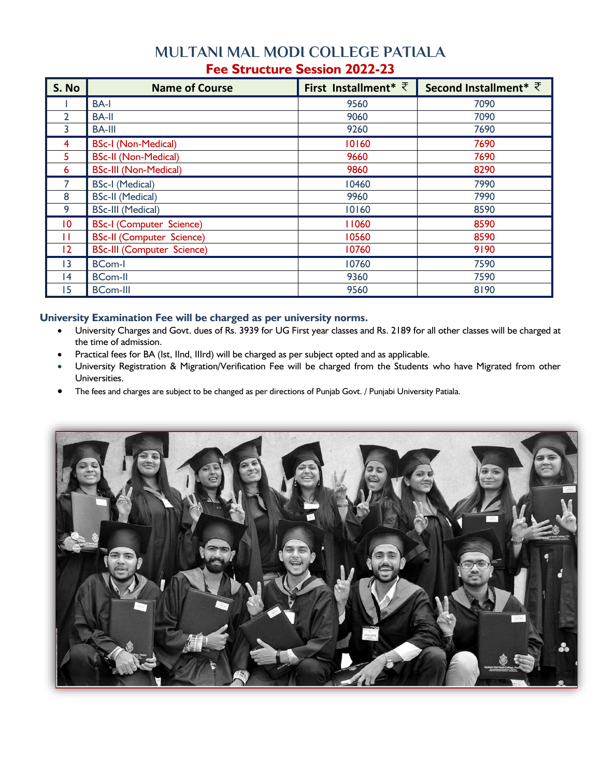## **MULTANI MAL MODI COLLEGE PATIALA Fee Structure Session 2022-23**

| S. No           | <b>Name of Course</b>             | First Installment* $\overline{\zeta}$ | Second Installment <sup>*</sup> ₹ |
|-----------------|-----------------------------------|---------------------------------------|-----------------------------------|
|                 | <b>BA-I</b>                       | 9560                                  | 7090                              |
| $\overline{2}$  | <b>BA-II</b>                      | 9060                                  | 7090                              |
| 3               | <b>BA-III</b>                     | 9260                                  | 7690                              |
| 4               | <b>BSc-I (Non-Medical)</b>        | 10160                                 | 7690                              |
| 5               | <b>BSc-II (Non-Medical)</b>       | 9660                                  | 7690                              |
| 6               | <b>BSc-III (Non-Medical)</b>      | 9860                                  | 8290                              |
| 7               | <b>BSc-I (Medical)</b>            | 10460                                 | 7990                              |
| 8               | <b>BSc-II (Medical)</b>           | 9960                                  | 7990                              |
| 9               | <b>BSc-III (Medical)</b>          | 10160                                 | 8590                              |
| $\overline{10}$ | <b>BSc-I (Computer Science)</b>   | 11060                                 | 8590                              |
| П               | <b>BSc-II (Computer Science)</b>  | 10560                                 | 8590                              |
| 12              | <b>BSc-III (Computer Science)</b> | 10760                                 | 9190                              |
| 3               | <b>BCom-I</b>                     | 10760                                 | 7590                              |
| 4               | <b>BCom-II</b>                    | 9360                                  | 7590                              |
| 15              | <b>BCom-III</b>                   | 9560                                  | 8190                              |

## **University Examination Fee will be charged as per university norms.**

- University Charges and Govt. dues of Rs. 3939 for UG First year classes and Rs. 2189 for all other classes will be charged at the time of admission.
- Practical fees for BA (Ist, IInd, IIIrd) will be charged as per subject opted and as applicable.
- University Registration & Migration/Verification Fee will be charged from the Students who have Migrated from other Universities.
- The fees and charges are subject to be changed as per directions of Punjab Govt. / Punjabi University Patiala.